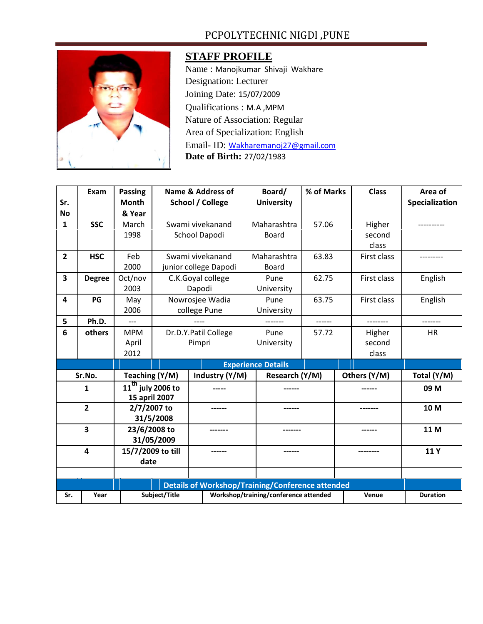## PCPOLYTECHNIC NIGDI ,PUNE



## **STAFF PROFILE**

Name : Manojkumar Shivaji Wakhare Designation: Lecturer Joining Date: 15/07/2009 Qualifications : M.A ,MPM Nature of Association: Regular Area of Specialization: English Email- ID: [Wakharemanoj27@gmail.com](mailto:Wakharemanoj27@gmail.com) **Date of Birth:** 27/02/1983

|                         | Exam          | <b>Passing</b>    |                                                         |        | Name & Address of                     | Board/            | % of Marks     |             | <b>Class</b> | Area of         |
|-------------------------|---------------|-------------------|---------------------------------------------------------|--------|---------------------------------------|-------------------|----------------|-------------|--------------|-----------------|
| Sr.                     |               | <b>Month</b>      | <b>School / College</b>                                 |        |                                       | <b>University</b> |                |             |              | Specialization  |
| No                      |               | & Year            |                                                         |        |                                       |                   |                |             |              |                 |
| $\mathbf{1}$            | <b>SSC</b>    | March             | Swami vivekanand                                        |        |                                       | Maharashtra       | 57.06          |             | Higher       |                 |
|                         |               | 1998              | School Dapodi                                           |        |                                       | <b>Board</b>      |                |             | second       |                 |
|                         |               |                   |                                                         |        |                                       |                   |                |             | class        |                 |
| $\overline{2}$          | <b>HSC</b>    | Feb               | Swami vivekanand                                        |        |                                       | Maharashtra       | 63.83          |             | First class  | ---------       |
|                         |               | 2000              | junior college Dapodi                                   |        |                                       | Board             |                |             |              |                 |
| 3                       | <b>Degree</b> | Oct/nov           | C.K.Goyal college                                       |        |                                       | Pune              | 62.75          |             | First class  | English         |
|                         |               | 2003              | Dapodi                                                  |        |                                       | University        |                |             |              |                 |
| $\overline{\mathbf{A}}$ | PG            | May               | Nowrosjee Wadia                                         |        | Pune                                  | 63.75             |                | First class | English      |                 |
|                         |               | 2006              | college Pune                                            |        |                                       | University        |                |             |              |                 |
| 5                       | Ph.D.         | ---               |                                                         |        |                                       | ------            |                | --------    |              |                 |
| 6                       | others        | <b>MPM</b>        | Dr.D.Y.Patil College                                    |        |                                       | Pune              | 57.72          |             | Higher       | <b>HR</b>       |
|                         |               | April             | Pimpri                                                  |        |                                       | University        |                |             | second       |                 |
|                         |               | 2012              |                                                         |        |                                       |                   |                |             | class        |                 |
|                         |               |                   | <b>Experience Details</b>                               |        |                                       |                   |                |             |              |                 |
| Sr.No.                  |               |                   | Teaching (Y/M)                                          |        | Industry (Y/M)                        |                   | Research (Y/M) |             | Others (Y/M) | Total (Y/M)     |
| 1                       |               |                   | $11^{\overline{\text{th}}}$<br>iuly 2006 to             |        |                                       |                   |                |             |              | 09 M            |
|                         |               | 15 april 2007     |                                                         |        |                                       |                   |                |             |              |                 |
| $\overline{2}$          |               | 2/7/2007 to       |                                                         | ------ |                                       | ------            |                |             | -------      | 10 M            |
|                         |               | 31/5/2008         |                                                         |        |                                       |                   |                |             |              |                 |
| 3                       |               | 23/6/2008 to      |                                                         |        |                                       |                   |                |             |              | 11 M            |
|                         |               | 31/05/2009        |                                                         |        |                                       |                   |                |             |              |                 |
| 4                       |               | 15/7/2009 to till |                                                         | ------ |                                       | ------            |                |             |              | 11Y             |
|                         |               | date              |                                                         |        |                                       |                   |                |             |              |                 |
|                         |               |                   |                                                         |        |                                       |                   |                |             |              |                 |
|                         |               |                   | <b>Details of Workshop/Training/Conference attended</b> |        |                                       |                   |                |             |              |                 |
| Sr.                     | Year          |                   | Subject/Title                                           |        | Workshop/training/conference attended |                   |                |             | Venue        | <b>Duration</b> |